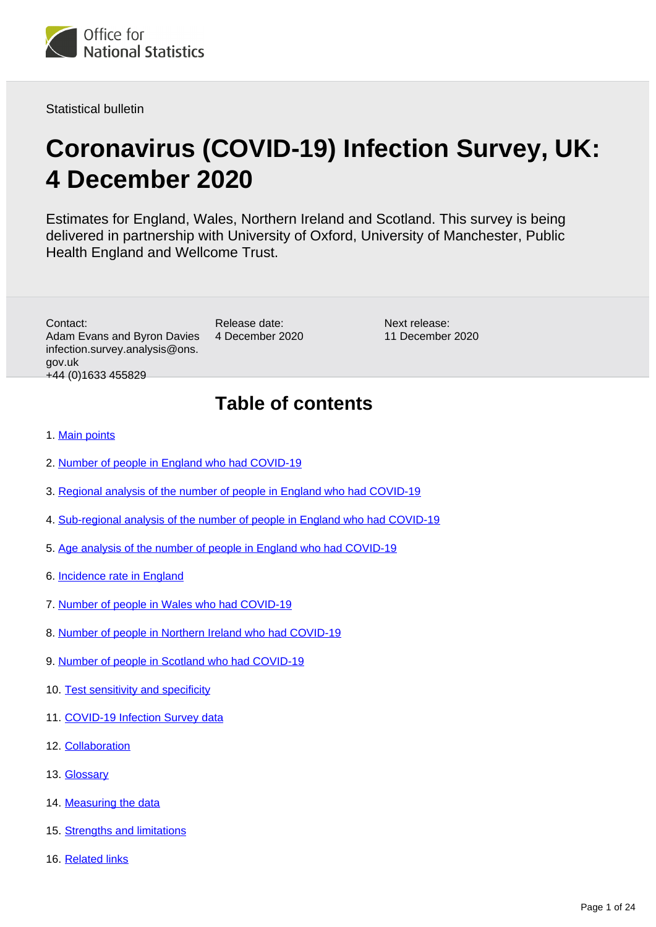

Statistical bulletin

# **Coronavirus (COVID-19) Infection Survey, UK: 4 December 2020**

Estimates for England, Wales, Northern Ireland and Scotland. This survey is being delivered in partnership with University of Oxford, University of Manchester, Public Health England and Wellcome Trust.

Contact: Adam Evans and Byron Davies infection.survey.analysis@ons. gov.uk +44 (0)1633 455829

Release date: 4 December 2020 Next release: 11 December 2020

# **Table of contents**

#### 1. [Main points](#page-1-0)

- 2. [Number of people in England who had COVID-19](#page-2-0)
- 3. [Regional analysis of the number of people in England who had COVID-19](#page-5-0)
- 4. [Sub-regional analysis of the number of people in England who had COVID-19](#page-7-0)
- 5. [Age analysis of the number of people in England who had COVID-19](#page-8-0)
- 6. [Incidence rate in England](#page-9-0)
- 7. [Number of people in Wales who had COVID-19](#page-11-0)
- 8. [Number of people in Northern Ireland who had COVID-19](#page-13-0)
- 9. [Number of people in Scotland who had COVID-19](#page-15-0)
- 10. [Test sensitivity and specificity](#page-17-0)
- 11. [COVID-19 Infection Survey data](#page-17-1)
- 12. [Collaboration](#page-17-2)
- 13. [Glossary](#page-18-0)
- 14. [Measuring the data](#page-19-0)
- 15. [Strengths and limitations](#page-22-0)
- 16. [Related links](#page-23-0)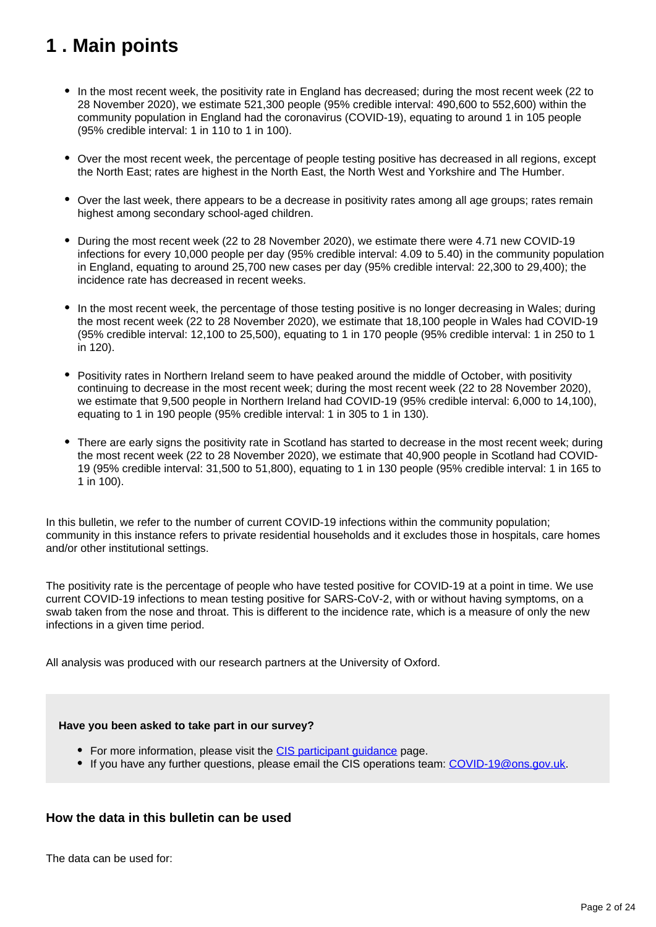# <span id="page-1-0"></span>**1 . Main points**

- In the most recent week, the positivity rate in England has decreased; during the most recent week (22 to 28 November 2020), we estimate 521,300 people (95% credible interval: 490,600 to 552,600) within the community population in England had the coronavirus (COVID-19), equating to around 1 in 105 people (95% credible interval: 1 in 110 to 1 in 100).
- Over the most recent week, the percentage of people testing positive has decreased in all regions, except the North East; rates are highest in the North East, the North West and Yorkshire and The Humber.
- Over the last week, there appears to be a decrease in positivity rates among all age groups; rates remain highest among secondary school-aged children.
- During the most recent week (22 to 28 November 2020), we estimate there were 4.71 new COVID-19 infections for every 10,000 people per day (95% credible interval: 4.09 to 5.40) in the community population in England, equating to around 25,700 new cases per day (95% credible interval: 22,300 to 29,400); the incidence rate has decreased in recent weeks.
- In the most recent week, the percentage of those testing positive is no longer decreasing in Wales; during the most recent week (22 to 28 November 2020), we estimate that 18,100 people in Wales had COVID-19 (95% credible interval: 12,100 to 25,500), equating to 1 in 170 people (95% credible interval: 1 in 250 to 1 in 120).
- Positivity rates in Northern Ireland seem to have peaked around the middle of October, with positivity continuing to decrease in the most recent week; during the most recent week (22 to 28 November 2020), we estimate that 9,500 people in Northern Ireland had COVID-19 (95% credible interval: 6,000 to 14,100), equating to 1 in 190 people (95% credible interval: 1 in 305 to 1 in 130).
- There are early signs the positivity rate in Scotland has started to decrease in the most recent week; during the most recent week (22 to 28 November 2020), we estimate that 40,900 people in Scotland had COVID-19 (95% credible interval: 31,500 to 51,800), equating to 1 in 130 people (95% credible interval: 1 in 165 to 1 in 100).

In this bulletin, we refer to the number of current COVID-19 infections within the community population; community in this instance refers to private residential households and it excludes those in hospitals, care homes and/or other institutional settings.

The positivity rate is the percentage of people who have tested positive for COVID-19 at a point in time. We use current COVID-19 infections to mean testing positive for SARS-CoV-2, with or without having symptoms, on a swab taken from the nose and throat. This is different to the incidence rate, which is a measure of only the new infections in a given time period.

All analysis was produced with our research partners at the University of Oxford.

#### **Have you been asked to take part in our survey?**

- For more information, please visit the CIS participant quidance page.
- If you have any further questions, please email the CIS operations team: [COVID-19@ons.gov.uk](mailto:COVID-19@ons.gov.uk).

## **How the data in this bulletin can be used**

The data can be used for: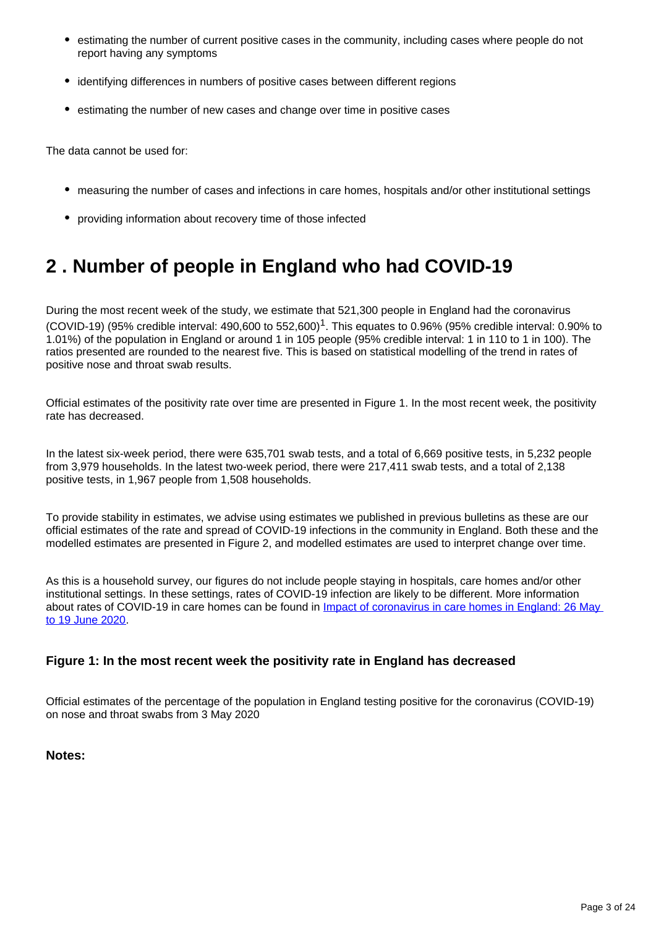- estimating the number of current positive cases in the community, including cases where people do not report having any symptoms
- identifying differences in numbers of positive cases between different regions
- estimating the number of new cases and change over time in positive cases

The data cannot be used for:

- measuring the number of cases and infections in care homes, hospitals and/or other institutional settings
- providing information about recovery time of those infected

# <span id="page-2-0"></span>**2 . Number of people in England who had COVID-19**

During the most recent week of the study, we estimate that 521,300 people in England had the coronavirus (COVID-19) (95% credible interval: 490,600 to 552,600)<sup>1</sup>. This equates to 0.96% (95% credible interval: 0.90% to 1.01%) of the population in England or around 1 in 105 people (95% credible interval: 1 in 110 to 1 in 100). The ratios presented are rounded to the nearest five. This is based on statistical modelling of the trend in rates of positive nose and throat swab results.

Official estimates of the positivity rate over time are presented in Figure 1. In the most recent week, the positivity rate has decreased.

In the latest six-week period, there were 635,701 swab tests, and a total of 6,669 positive tests, in 5,232 people from 3,979 households. In the latest two-week period, there were 217,411 swab tests, and a total of 2,138 positive tests, in 1,967 people from 1,508 households.

To provide stability in estimates, we advise using estimates we published in previous bulletins as these are our official estimates of the rate and spread of COVID-19 infections in the community in England. Both these and the modelled estimates are presented in Figure 2, and modelled estimates are used to interpret change over time.

As this is a household survey, our figures do not include people staying in hospitals, care homes and/or other institutional settings. In these settings, rates of COVID-19 infection are likely to be different. More information about rates of COVID-19 in care homes can be found in *Impact of coronavirus in care homes in England: 26 May* [to 19 June 2020](https://www.ons.gov.uk/peoplepopulationandcommunity/healthandsocialcare/conditionsanddiseases/articles/impactofcoronavirusincarehomesinenglandvivaldi/latest).

## **Figure 1: In the most recent week the positivity rate in England has decreased**

Official estimates of the percentage of the population in England testing positive for the coronavirus (COVID-19) on nose and throat swabs from 3 May 2020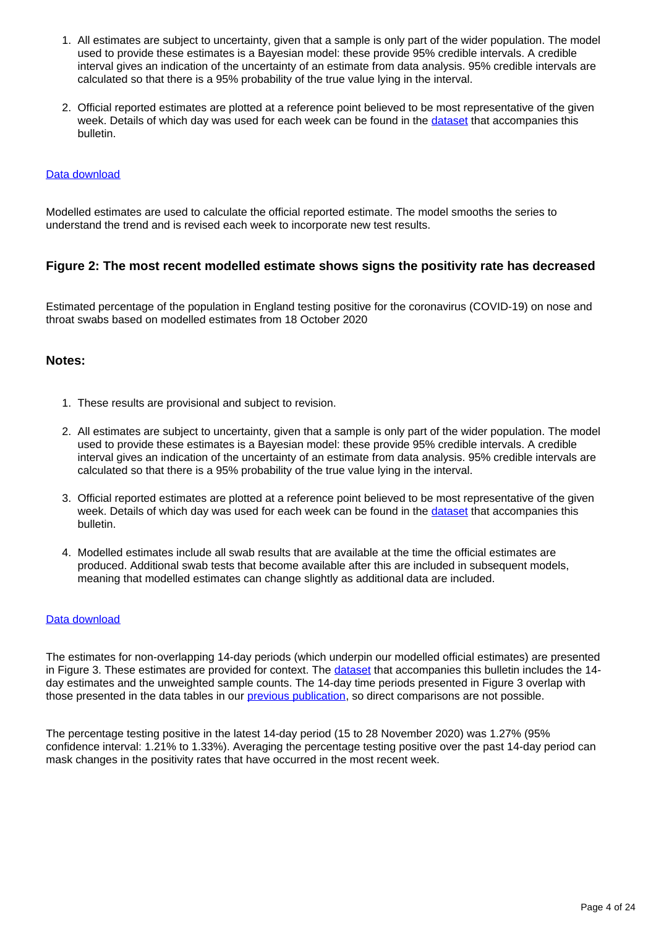- 1. All estimates are subject to uncertainty, given that a sample is only part of the wider population. The model used to provide these estimates is a Bayesian model: these provide 95% credible intervals. A credible interval gives an indication of the uncertainty of an estimate from data analysis. 95% credible intervals are calculated so that there is a 95% probability of the true value lying in the interval.
- 2. Official reported estimates are plotted at a reference point believed to be most representative of the given week. Details of which day was used for each week can be found in the [dataset](https://www.ons.gov.uk/peoplepopulationandcommunity/healthandsocialcare/conditionsanddiseases/datasets/coronaviruscovid19infectionsurveydata) that accompanies this bulletin.

#### [Data download](https://www.ons.gov.uk/visualisations/dvc1086/posengland/datadownload.xlsx)

Modelled estimates are used to calculate the official reported estimate. The model smooths the series to understand the trend and is revised each week to incorporate new test results.

# **Figure 2: The most recent modelled estimate shows signs the positivity rate has decreased**

Estimated percentage of the population in England testing positive for the coronavirus (COVID-19) on nose and throat swabs based on modelled estimates from 18 October 2020

#### **Notes:**

- 1. These results are provisional and subject to revision.
- 2. All estimates are subject to uncertainty, given that a sample is only part of the wider population. The model used to provide these estimates is a Bayesian model: these provide 95% credible intervals. A credible interval gives an indication of the uncertainty of an estimate from data analysis. 95% credible intervals are calculated so that there is a 95% probability of the true value lying in the interval.
- 3. Official reported estimates are plotted at a reference point believed to be most representative of the given week. Details of which day was used for each week can be found in the [dataset](https://www.ons.gov.uk/peoplepopulationandcommunity/healthandsocialcare/conditionsanddiseases/datasets/coronaviruscovid19infectionsurveydata) that accompanies this bulletin.
- 4. Modelled estimates include all swab results that are available at the time the official estimates are produced. Additional swab tests that become available after this are included in subsequent models, meaning that modelled estimates can change slightly as additional data are included.

#### [Data download](https://www.ons.gov.uk/visualisations/dvc1086/prvwrapper/datadownload.xlsx)

The estimates for non-overlapping 14-day periods (which underpin our modelled official estimates) are presented in Figure 3. These estimates are provided for context. The [dataset](https://www.ons.gov.uk/peoplepopulationandcommunity/healthandsocialcare/conditionsanddiseases/datasets/coronaviruscovid19infectionsurveydata) that accompanies this bulletin includes the 14 day estimates and the unweighted sample counts. The 14-day time periods presented in Figure 3 overlap with those presented in the data tables in our **previous publication**, so direct comparisons are not possible.

The percentage testing positive in the latest 14-day period (15 to 28 November 2020) was 1.27% (95% confidence interval: 1.21% to 1.33%). Averaging the percentage testing positive over the past 14-day period can mask changes in the positivity rates that have occurred in the most recent week.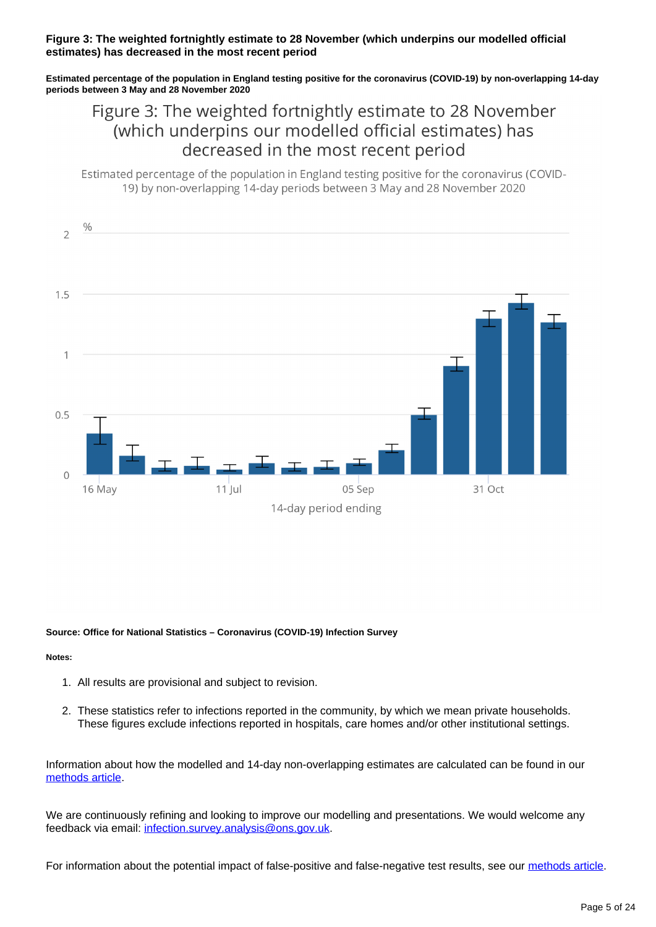#### **Figure 3: The weighted fortnightly estimate to 28 November (which underpins our modelled official estimates) has decreased in the most recent period**

**Estimated percentage of the population in England testing positive for the coronavirus (COVID-19) by non-overlapping 14-day periods between 3 May and 28 November 2020**

# Figure 3: The weighted fortnightly estimate to 28 November (which underpins our modelled official estimates) has decreased in the most recent period

Estimated percentage of the population in England testing positive for the coronavirus (COVID-19) by non-overlapping 14-day periods between 3 May and 28 November 2020



#### **Source: Office for National Statistics – Coronavirus (COVID-19) Infection Survey**

#### **Notes:**

- 1. All results are provisional and subject to revision.
- 2. These statistics refer to infections reported in the community, by which we mean private households. These figures exclude infections reported in hospitals, care homes and/or other institutional settings.

Information about how the modelled and 14-day non-overlapping estimates are calculated can be found in our [methods article](https://www.ons.gov.uk/peoplepopulationandcommunity/healthandsocialcare/conditionsanddiseases/methodologies/covid19infectionsurveypilotmethodsandfurtherinformation#14-day-estimates).

We are continuously refining and looking to improve our modelling and presentations. We would welcome any feedback via email: [infection.survey.analysis@ons.gov.uk](mailto:infection.survey.analysis@ons.gov.uk).

For information about the potential impact of false-positive and false-negative test results, see our [methods article.](https://www.ons.gov.uk/peoplepopulationandcommunity/healthandsocialcare/conditionsanddiseases/methodologies/covid19infectionsurveypilotmethodsandfurtherinformation#test-sensitivity-and-specificity)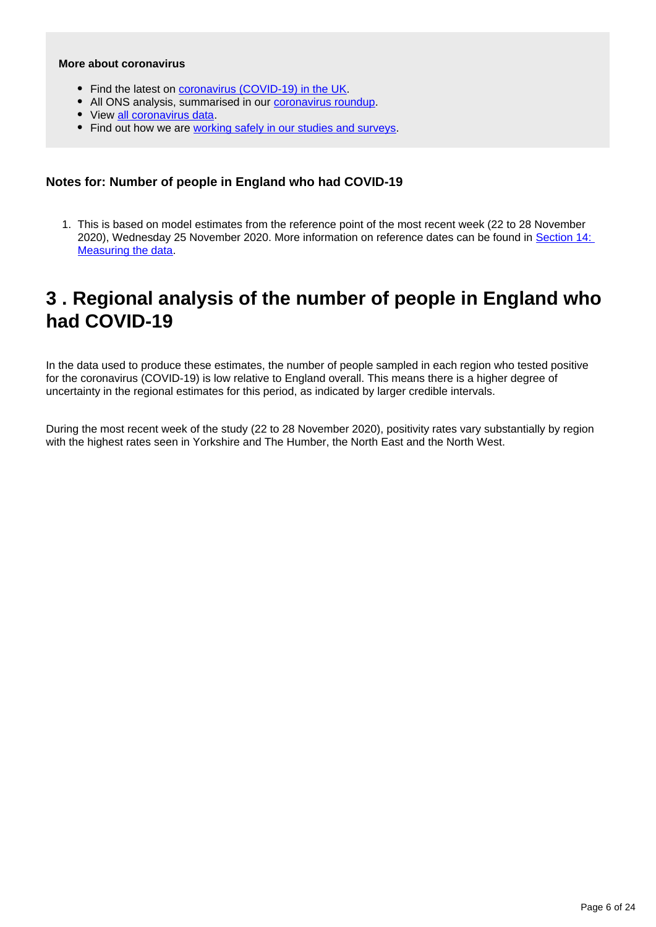#### **More about coronavirus**

- Find the latest on [coronavirus \(COVID-19\) in the UK.](https://www.ons.gov.uk/peoplepopulationandcommunity/healthandsocialcare/conditionsanddiseases)
- All ONS analysis, summarised in our [coronavirus roundup.](https://www.ons.gov.uk/peoplepopulationandcommunity/healthandsocialcare/conditionsanddiseases/articles/coronaviruscovid19roundup/latest)
- View [all coronavirus data](https://www.ons.gov.uk/peoplepopulationandcommunity/healthandsocialcare/conditionsanddiseases/datalist).
- Find out how we are [working safely in our studies and surveys.](https://www.ons.gov.uk/news/statementsandletters/ensuringyoursafetyduringcovid19)

## **Notes for: Number of people in England who had COVID-19**

1. This is based on model estimates from the reference point of the most recent week (22 to 28 November 2020), Wednesday 25 November 2020. More information on reference dates can be found in [Section 14:](https://www.ons.gov.uk/peoplepopulationandcommunity/healthandsocialcare/conditionsanddiseases/bulletins/coronaviruscovid19infectionsurveypilot/4december2020#measuring-the-data)  [Measuring the data.](https://www.ons.gov.uk/peoplepopulationandcommunity/healthandsocialcare/conditionsanddiseases/bulletins/coronaviruscovid19infectionsurveypilot/4december2020#measuring-the-data)

# <span id="page-5-0"></span>**3 . Regional analysis of the number of people in England who had COVID-19**

In the data used to produce these estimates, the number of people sampled in each region who tested positive for the coronavirus (COVID-19) is low relative to England overall. This means there is a higher degree of uncertainty in the regional estimates for this period, as indicated by larger credible intervals.

During the most recent week of the study (22 to 28 November 2020), positivity rates vary substantially by region with the highest rates seen in Yorkshire and The Humber, the North East and the North West.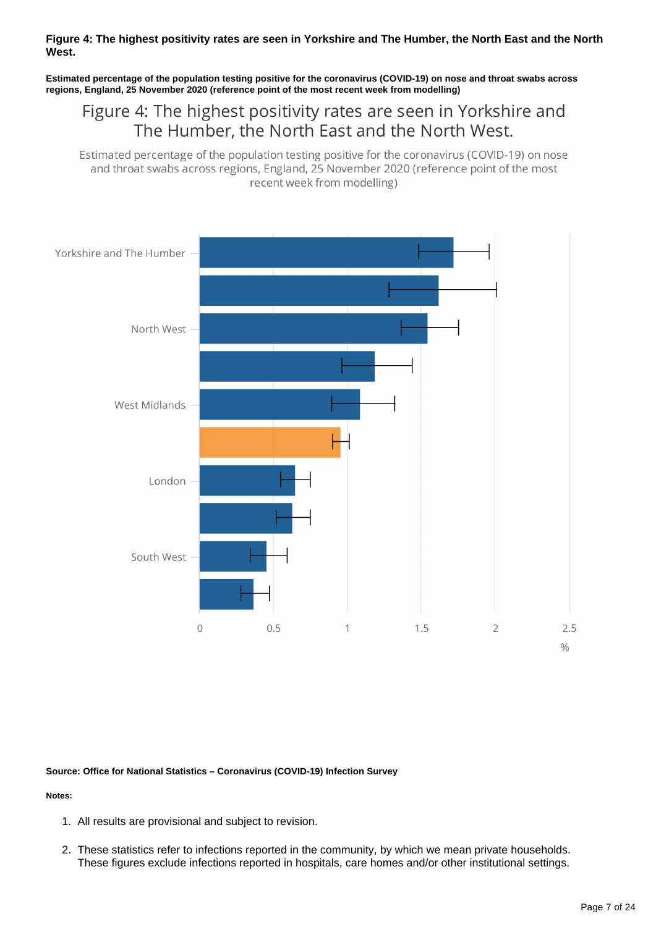#### **Figure 4: The highest positivity rates are seen in Yorkshire and The Humber, the North East and the North West.**

**Estimated percentage of the population testing positive for the coronavirus (COVID-19) on nose and throat swabs across regions, England, 25 November 2020 (reference point of the most recent week from modelling)**

# Figure 4: The highest positivity rates are seen in Yorkshire and The Humber, the North East and the North West.

Estimated percentage of the population testing positive for the coronavirus (COVID-19) on nose and throat swabs across regions, England, 25 November 2020 (reference point of the most recent week from modelling)



#### **Source: Office for National Statistics – Coronavirus (COVID-19) Infection Survey**

- 1. All results are provisional and subject to revision.
- 2. These statistics refer to infections reported in the community, by which we mean private households. These figures exclude infections reported in hospitals, care homes and/or other institutional settings.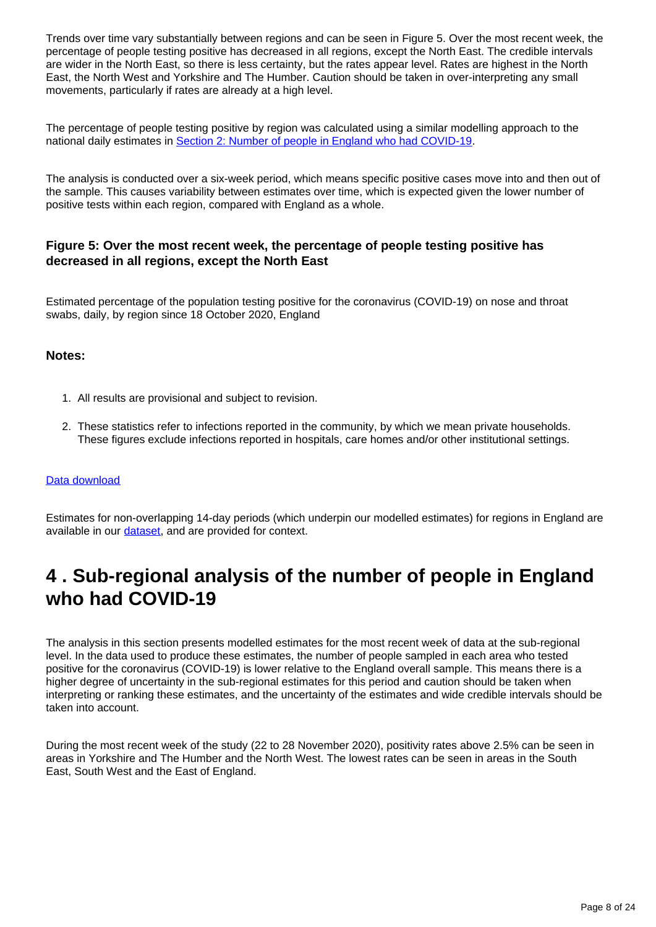Trends over time vary substantially between regions and can be seen in Figure 5. Over the most recent week, the percentage of people testing positive has decreased in all regions, except the North East. The credible intervals are wider in the North East, so there is less certainty, but the rates appear level. Rates are highest in the North East, the North West and Yorkshire and The Humber. Caution should be taken in over-interpreting any small movements, particularly if rates are already at a high level.

The percentage of people testing positive by region was calculated using a similar modelling approach to the national daily estimates in [Section 2: Number of people in England who had COVID-19.](https://www.ons.gov.uk/peoplepopulationandcommunity/healthandsocialcare/conditionsanddiseases/bulletins/coronaviruscovid19infectionsurveypilot/4december2020#number-of-people-in-england-who-had-covid-19)

The analysis is conducted over a six-week period, which means specific positive cases move into and then out of the sample. This causes variability between estimates over time, which is expected given the lower number of positive tests within each region, compared with England as a whole.

# **Figure 5: Over the most recent week, the percentage of people testing positive has decreased in all regions, except the North East**

Estimated percentage of the population testing positive for the coronavirus (COVID-19) on nose and throat swabs, daily, by region since 18 October 2020, England

### **Notes:**

- 1. All results are provisional and subject to revision.
- 2. These statistics refer to infections reported in the community, by which we mean private households. These figures exclude infections reported in hospitals, care homes and/or other institutional settings.

#### [Data download](https://www.ons.gov.uk/visualisations/dvc1086/region/datadownload.xlsx)

Estimates for non-overlapping 14-day periods (which underpin our modelled estimates) for regions in England are available in our [dataset,](https://www.ons.gov.uk/peoplepopulationandcommunity/healthandsocialcare/conditionsanddiseases/datasets/coronaviruscovid19infectionsurveydata) and are provided for context.

# <span id="page-7-0"></span>**4 . Sub-regional analysis of the number of people in England who had COVID-19**

The analysis in this section presents modelled estimates for the most recent week of data at the sub-regional level. In the data used to produce these estimates, the number of people sampled in each area who tested positive for the coronavirus (COVID-19) is lower relative to the England overall sample. This means there is a higher degree of uncertainty in the sub-regional estimates for this period and caution should be taken when interpreting or ranking these estimates, and the uncertainty of the estimates and wide credible intervals should be taken into account.

During the most recent week of the study (22 to 28 November 2020), positivity rates above 2.5% can be seen in areas in Yorkshire and The Humber and the North West. The lowest rates can be seen in areas in the South East, South West and the East of England.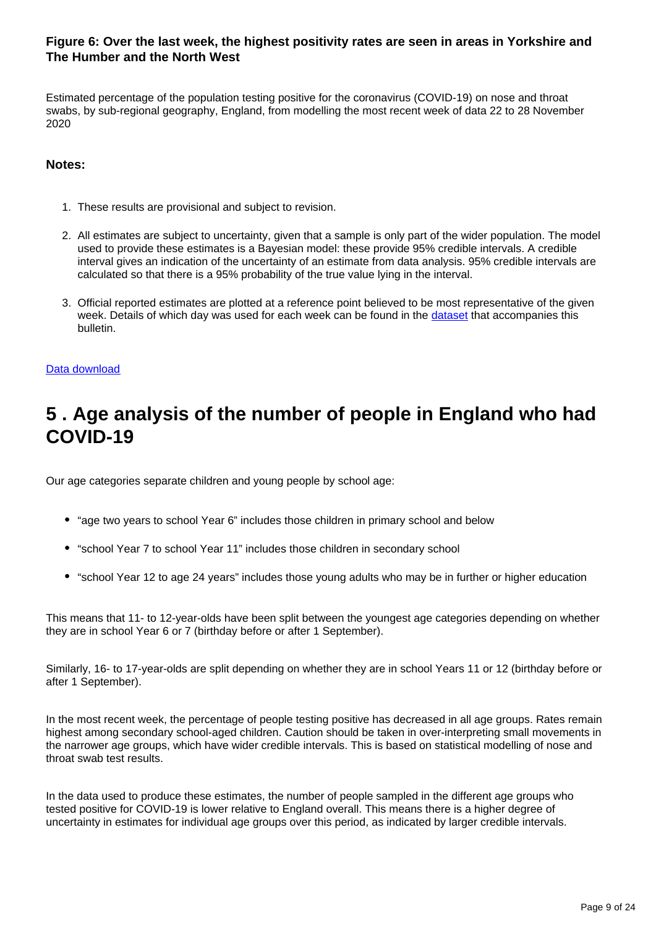# **Figure 6: Over the last week, the highest positivity rates are seen in areas in Yorkshire and The Humber and the North West**

Estimated percentage of the population testing positive for the coronavirus (COVID-19) on nose and throat swabs, by sub-regional geography, England, from modelling the most recent week of data 22 to 28 November 2020

# **Notes:**

- 1. These results are provisional and subject to revision.
- 2. All estimates are subject to uncertainty, given that a sample is only part of the wider population. The model used to provide these estimates is a Bayesian model: these provide 95% credible intervals. A credible interval gives an indication of the uncertainty of an estimate from data analysis. 95% credible intervals are calculated so that there is a 95% probability of the true value lying in the interval.
- 3. Official reported estimates are plotted at a reference point believed to be most representative of the given week. Details of which day was used for each week can be found in the [dataset](https://www.ons.gov.uk/peoplepopulationandcommunity/healthandsocialcare/conditionsanddiseases/datasets/coronaviruscovid19infectionsurveydata) that accompanies this bulletin.

#### [Data download](https://www.ons.gov.uk/visualisations/dvc1086/map/datadownload.xlsx)

# <span id="page-8-0"></span>**5 . Age analysis of the number of people in England who had COVID-19**

Our age categories separate children and young people by school age:

- "age two years to school Year 6" includes those children in primary school and below
- "school Year 7 to school Year 11" includes those children in secondary school
- "school Year 12 to age 24 years" includes those young adults who may be in further or higher education

This means that 11- to 12-year-olds have been split between the youngest age categories depending on whether they are in school Year 6 or 7 (birthday before or after 1 September).

Similarly, 16- to 17-year-olds are split depending on whether they are in school Years 11 or 12 (birthday before or after 1 September).

In the most recent week, the percentage of people testing positive has decreased in all age groups. Rates remain highest among secondary school-aged children. Caution should be taken in over-interpreting small movements in the narrower age groups, which have wider credible intervals. This is based on statistical modelling of nose and throat swab test results.

In the data used to produce these estimates, the number of people sampled in the different age groups who tested positive for COVID-19 is lower relative to England overall. This means there is a higher degree of uncertainty in estimates for individual age groups over this period, as indicated by larger credible intervals.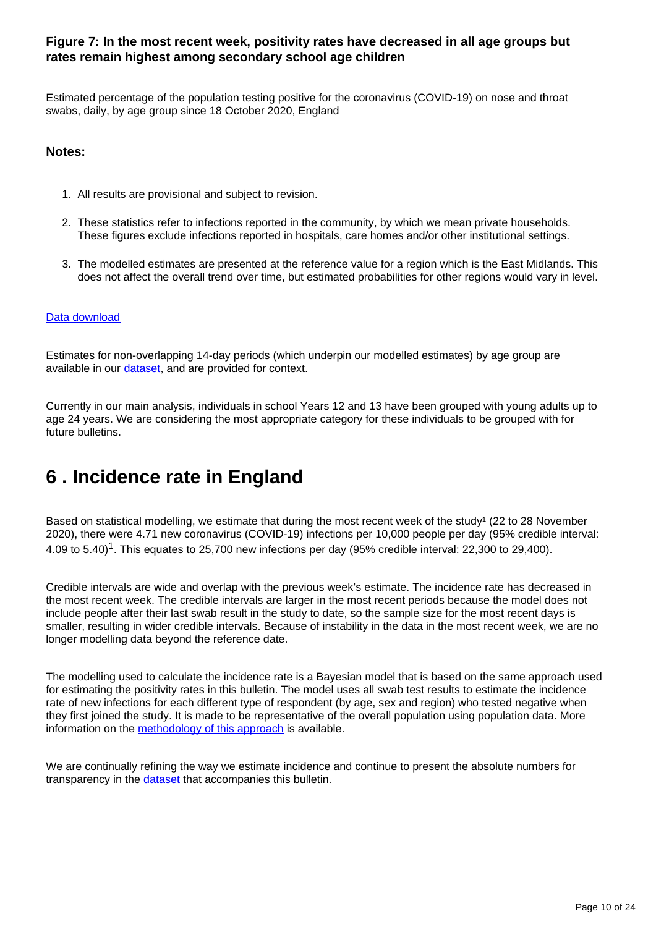# **Figure 7: In the most recent week, positivity rates have decreased in all age groups but rates remain highest among secondary school age children**

Estimated percentage of the population testing positive for the coronavirus (COVID-19) on nose and throat swabs, daily, by age group since 18 October 2020, England

#### **Notes:**

- 1. All results are provisional and subject to revision.
- 2. These statistics refer to infections reported in the community, by which we mean private households. These figures exclude infections reported in hospitals, care homes and/or other institutional settings.
- 3. The modelled estimates are presented at the reference value for a region which is the East Midlands. This does not affect the overall trend over time, but estimated probabilities for other regions would vary in level.

#### [Data download](https://www.ons.gov.uk/visualisations/dvc1086/age/datadownload.xlsx)

Estimates for non-overlapping 14-day periods (which underpin our modelled estimates) by age group are available in our [dataset,](https://www.ons.gov.uk/peoplepopulationandcommunity/healthandsocialcare/conditionsanddiseases/datasets/coronaviruscovid19infectionsurveydata) and are provided for context.

Currently in our main analysis, individuals in school Years 12 and 13 have been grouped with young adults up to age 24 years. We are considering the most appropriate category for these individuals to be grouped with for future bulletins.

# <span id="page-9-0"></span>**6 . Incidence rate in England**

Based on statistical modelling, we estimate that during the most recent week of the study<sup>1</sup> (22 to 28 November 2020), there were 4.71 new coronavirus (COVID-19) infections per 10,000 people per day (95% credible interval: 4.09 to 5.40)<sup>1</sup>. This equates to 25.700 new infections per day (95% credible interval: 22.300 to 29.400).

Credible intervals are wide and overlap with the previous week's estimate. The incidence rate has decreased in the most recent week. The credible intervals are larger in the most recent periods because the model does not include people after their last swab result in the study to date, so the sample size for the most recent days is smaller, resulting in wider credible intervals. Because of instability in the data in the most recent week, we are no longer modelling data beyond the reference date.

The modelling used to calculate the incidence rate is a Bayesian model that is based on the same approach used for estimating the positivity rates in this bulletin. The model uses all swab test results to estimate the incidence rate of new infections for each different type of respondent (by age, sex and region) who tested negative when they first joined the study. It is made to be representative of the overall population using population data. More information on the **methodology** of this approach is available.

We are continually refining the way we estimate incidence and continue to present the absolute numbers for transparency in the [dataset](https://www.ons.gov.uk/peoplepopulationandcommunity/healthandsocialcare/conditionsanddiseases/datasets/coronaviruscovid19infectionsurveydata) that accompanies this bulletin.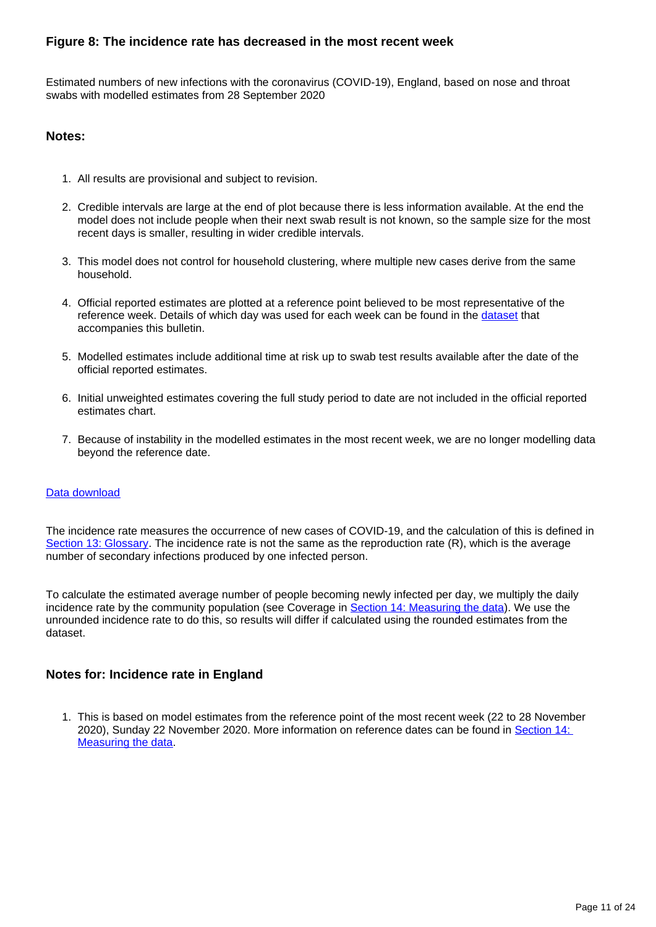# **Figure 8: The incidence rate has decreased in the most recent week**

Estimated numbers of new infections with the coronavirus (COVID-19), England, based on nose and throat swabs with modelled estimates from 28 September 2020

### **Notes:**

- 1. All results are provisional and subject to revision.
- 2. Credible intervals are large at the end of plot because there is less information available. At the end the model does not include people when their next swab result is not known, so the sample size for the most recent days is smaller, resulting in wider credible intervals.
- 3. This model does not control for household clustering, where multiple new cases derive from the same household.
- 4. Official reported estimates are plotted at a reference point believed to be most representative of the reference week. Details of which day was used for each week can be found in the [dataset](https://www.ons.gov.uk/peoplepopulationandcommunity/healthandsocialcare/conditionsanddiseases/datasets/coronaviruscovid19infectionsurveydata) that accompanies this bulletin.
- 5. Modelled estimates include additional time at risk up to swab test results available after the date of the official reported estimates.
- 6. Initial unweighted estimates covering the full study period to date are not included in the official reported estimates chart.
- 7. Because of instability in the modelled estimates in the most recent week, we are no longer modelling data beyond the reference date.

#### [Data download](https://www.ons.gov.uk/visualisations/dvc1086/incwrapper/datadownload.xlsx)

The incidence rate measures the occurrence of new cases of COVID-19, and the calculation of this is defined in [Section 13: Glossary.](https://www.ons.gov.uk/peoplepopulationandcommunity/healthandsocialcare/conditionsanddiseases/bulletins/coronaviruscovid19infectionsurveypilot/4december2020#glossary) The incidence rate is not the same as the reproduction rate (R), which is the average number of secondary infections produced by one infected person.

To calculate the estimated average number of people becoming newly infected per day, we multiply the daily incidence rate by the community population (see Coverage in [Section 14: Measuring the data\)](http://www.ons.gov.uk/peoplepopulationandcommunity/healthandsocialcare/conditionsanddiseases/bulletins/coronaviruscovid19infectionsurveypilot/4december2020#measuring-the-data). We use the unrounded incidence rate to do this, so results will differ if calculated using the rounded estimates from the dataset.

## **Notes for: Incidence rate in England**

1. This is based on model estimates from the reference point of the most recent week (22 to 28 November 2020), Sunday 22 November 2020. More information on reference dates can be found in [Section 14:](http://www.ons.gov.uk/peoplepopulationandcommunity/healthandsocialcare/conditionsanddiseases/bulletins/coronaviruscovid19infectionsurveypilot/4december2020#measuring-the-data)  [Measuring the data.](http://www.ons.gov.uk/peoplepopulationandcommunity/healthandsocialcare/conditionsanddiseases/bulletins/coronaviruscovid19infectionsurveypilot/4december2020#measuring-the-data)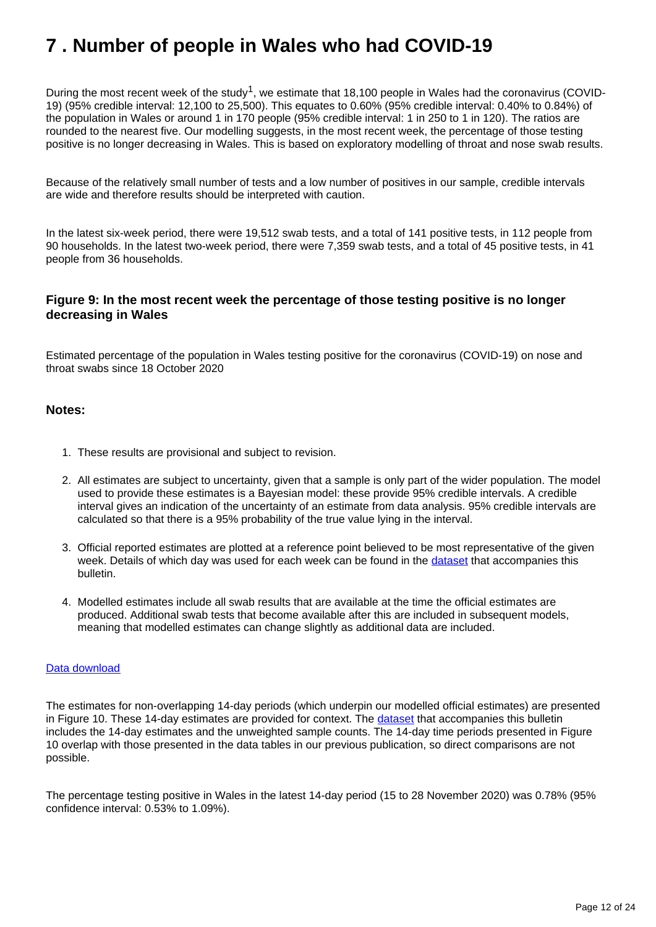# <span id="page-11-0"></span>**7 . Number of people in Wales who had COVID-19**

During the most recent week of the study<sup>1</sup>, we estimate that 18,100 people in Wales had the coronavirus (COVID-19) (95% credible interval: 12,100 to 25,500). This equates to 0.60% (95% credible interval: 0.40% to 0.84%) of the population in Wales or around 1 in 170 people (95% credible interval: 1 in 250 to 1 in 120). The ratios are rounded to the nearest five. Our modelling suggests, in the most recent week, the percentage of those testing positive is no longer decreasing in Wales. This is based on exploratory modelling of throat and nose swab results.

Because of the relatively small number of tests and a low number of positives in our sample, credible intervals are wide and therefore results should be interpreted with caution.

In the latest six-week period, there were 19,512 swab tests, and a total of 141 positive tests, in 112 people from 90 households. In the latest two-week period, there were 7,359 swab tests, and a total of 45 positive tests, in 41 people from 36 households.

# **Figure 9: In the most recent week the percentage of those testing positive is no longer decreasing in Wales**

Estimated percentage of the population in Wales testing positive for the coronavirus (COVID-19) on nose and throat swabs since 18 October 2020

#### **Notes:**

- 1. These results are provisional and subject to revision.
- 2. All estimates are subject to uncertainty, given that a sample is only part of the wider population. The model used to provide these estimates is a Bayesian model: these provide 95% credible intervals. A credible interval gives an indication of the uncertainty of an estimate from data analysis. 95% credible intervals are calculated so that there is a 95% probability of the true value lying in the interval.
- 3. Official reported estimates are plotted at a reference point believed to be most representative of the given week. Details of which day was used for each week can be found in the [dataset](https://www.ons.gov.uk/peoplepopulationandcommunity/healthandsocialcare/conditionsanddiseases/datasets/coronaviruscovid19infectionsurveydata) that accompanies this bulletin.
- 4. Modelled estimates include all swab results that are available at the time the official estimates are produced. Additional swab tests that become available after this are included in subsequent models, meaning that modelled estimates can change slightly as additional data are included.

#### [Data download](https://www.ons.gov.uk/visualisations/dvc1086/prvwaleswrapper/datadownload.xlsx)

The estimates for non-overlapping 14-day periods (which underpin our modelled official estimates) are presented in Figure 10. These 14-day estimates are provided for context. The [dataset](https://www.ons.gov.uk/peoplepopulationandcommunity/healthandsocialcare/conditionsanddiseases/datasets/coronaviruscovid19infectionsurveydata) that accompanies this bulletin includes the 14-day estimates and the unweighted sample counts. The 14-day time periods presented in Figure 10 overlap with those presented in the data tables in our previous publication, so direct comparisons are not possible.

The percentage testing positive in Wales in the latest 14-day period (15 to 28 November 2020) was 0.78% (95% confidence interval: 0.53% to 1.09%).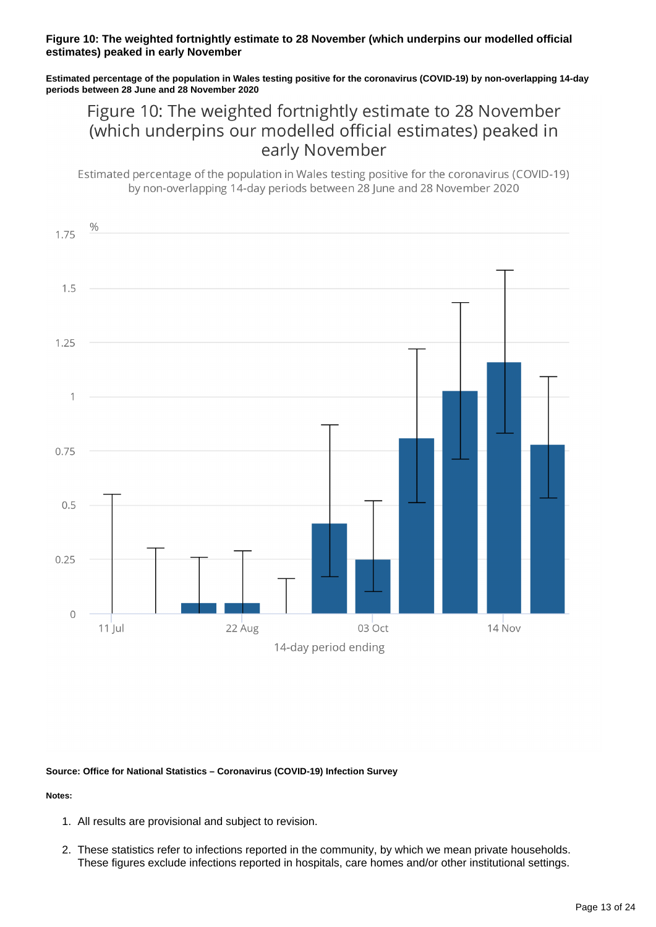#### **Figure 10: The weighted fortnightly estimate to 28 November (which underpins our modelled official estimates) peaked in early November**

**Estimated percentage of the population in Wales testing positive for the coronavirus (COVID-19) by non-overlapping 14-day periods between 28 June and 28 November 2020**

# Figure 10: The weighted fortnightly estimate to 28 November (which underpins our modelled official estimates) peaked in early November

Estimated percentage of the population in Wales testing positive for the coronavirus (COVID-19) by non-overlapping 14-day periods between 28 June and 28 November 2020



#### **Source: Office for National Statistics – Coronavirus (COVID-19) Infection Survey**

- 1. All results are provisional and subject to revision.
- 2. These statistics refer to infections reported in the community, by which we mean private households. These figures exclude infections reported in hospitals, care homes and/or other institutional settings.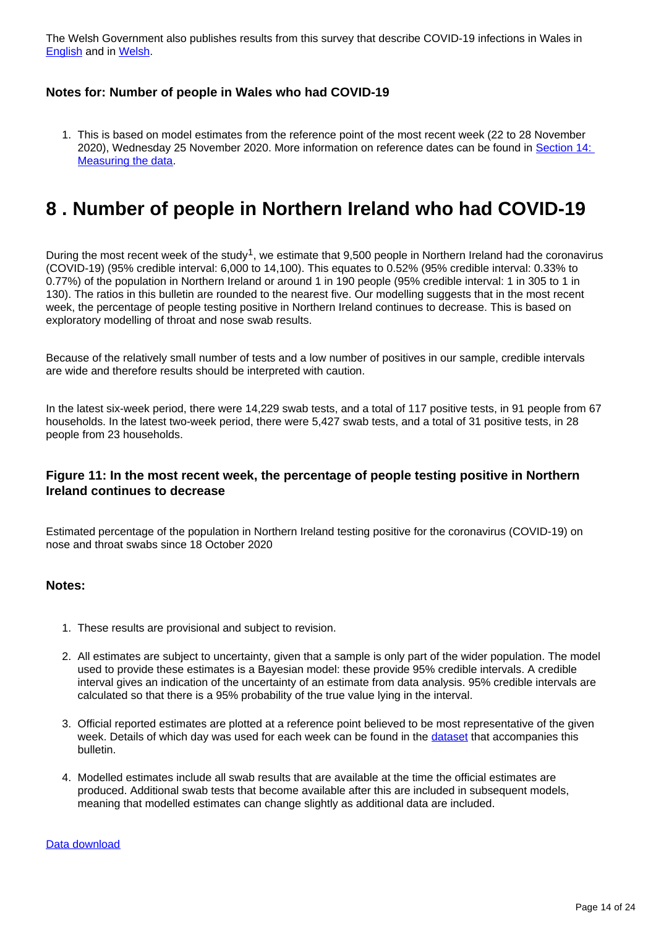The Welsh Government also publishes results from this survey that describe COVID-19 infections in Wales in **[English](https://gov.wales/covid-19-infection-survey) and in [Welsh](https://llyw.cymru/arolwg-heintiadau-covid-19).** 

### **Notes for: Number of people in Wales who had COVID-19**

1. This is based on model estimates from the reference point of the most recent week (22 to 28 November 2020), Wednesday 25 November 2020. More information on reference dates can be found in [Section 14:](http://www.ons.gov.uk/peoplepopulationandcommunity/healthandsocialcare/conditionsanddiseases/bulletins/coronaviruscovid19infectionsurveypilot/4december2020#measuring-the-data)  [Measuring the data.](http://www.ons.gov.uk/peoplepopulationandcommunity/healthandsocialcare/conditionsanddiseases/bulletins/coronaviruscovid19infectionsurveypilot/4december2020#measuring-the-data)

# <span id="page-13-0"></span>**8 . Number of people in Northern Ireland who had COVID-19**

During the most recent week of the study<sup>1</sup>, we estimate that 9,500 people in Northern Ireland had the coronavirus (COVID-19) (95% credible interval: 6,000 to 14,100). This equates to 0.52% (95% credible interval: 0.33% to 0.77%) of the population in Northern Ireland or around 1 in 190 people (95% credible interval: 1 in 305 to 1 in 130). The ratios in this bulletin are rounded to the nearest five. Our modelling suggests that in the most recent week, the percentage of people testing positive in Northern Ireland continues to decrease. This is based on exploratory modelling of throat and nose swab results.

Because of the relatively small number of tests and a low number of positives in our sample, credible intervals are wide and therefore results should be interpreted with caution.

In the latest six-week period, there were 14,229 swab tests, and a total of 117 positive tests, in 91 people from 67 households. In the latest two-week period, there were 5,427 swab tests, and a total of 31 positive tests, in 28 people from 23 households.

## **Figure 11: In the most recent week, the percentage of people testing positive in Northern Ireland continues to decrease**

Estimated percentage of the population in Northern Ireland testing positive for the coronavirus (COVID-19) on nose and throat swabs since 18 October 2020

- 1. These results are provisional and subject to revision.
- 2. All estimates are subject to uncertainty, given that a sample is only part of the wider population. The model used to provide these estimates is a Bayesian model: these provide 95% credible intervals. A credible interval gives an indication of the uncertainty of an estimate from data analysis. 95% credible intervals are calculated so that there is a 95% probability of the true value lying in the interval.
- 3. Official reported estimates are plotted at a reference point believed to be most representative of the given week. Details of which day was used for each week can be found in the [dataset](https://www.ons.gov.uk/peoplepopulationandcommunity/healthandsocialcare/conditionsanddiseases/datasets/coronaviruscovid19infectionsurveydata) that accompanies this bulletin.
- 4. Modelled estimates include all swab results that are available at the time the official estimates are produced. Additional swab tests that become available after this are included in subsequent models, meaning that modelled estimates can change slightly as additional data are included.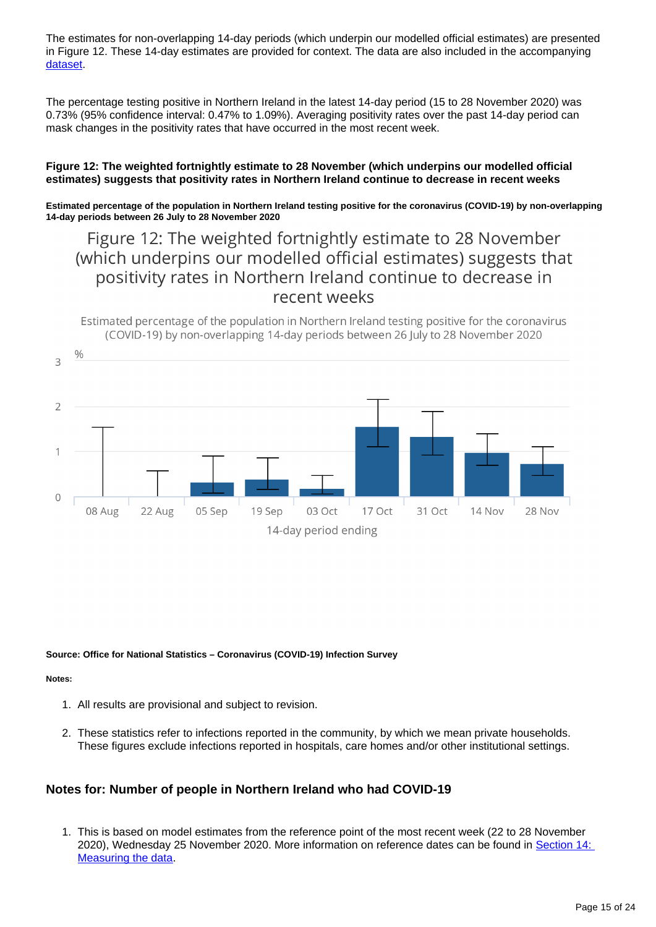The estimates for non-overlapping 14-day periods (which underpin our modelled official estimates) are presented in Figure 12. These 14-day estimates are provided for context. The data are also included in the accompanying [dataset.](https://www.ons.gov.uk/peoplepopulationandcommunity/healthandsocialcare/conditionsanddiseases/datasets/coronaviruscovid19infectionsurveydata)

The percentage testing positive in Northern Ireland in the latest 14-day period (15 to 28 November 2020) was 0.73% (95% confidence interval: 0.47% to 1.09%). Averaging positivity rates over the past 14-day period can mask changes in the positivity rates that have occurred in the most recent week.

#### **Figure 12: The weighted fortnightly estimate to 28 November (which underpins our modelled official estimates) suggests that positivity rates in Northern Ireland continue to decrease in recent weeks**

**Estimated percentage of the population in Northern Ireland testing positive for the coronavirus (COVID-19) by non-overlapping 14-day periods between 26 July to 28 November 2020**

# Figure 12: The weighted fortnightly estimate to 28 November (which underpins our modelled official estimates) suggests that positivity rates in Northern Ireland continue to decrease in recent weeks

Estimated percentage of the population in Northern Ireland testing positive for the coronavirus (COVID-19) by non-overlapping 14-day periods between 26 July to 28 November 2020



**Source: Office for National Statistics – Coronavirus (COVID-19) Infection Survey**

#### **Notes:**

- 1. All results are provisional and subject to revision.
- 2. These statistics refer to infections reported in the community, by which we mean private households. These figures exclude infections reported in hospitals, care homes and/or other institutional settings.

## **Notes for: Number of people in Northern Ireland who had COVID-19**

1. This is based on model estimates from the reference point of the most recent week (22 to 28 November 2020), Wednesday 25 November 2020. More information on reference dates can be found in [Section 14:](https://www.ons.gov.uk/peoplepopulationandcommunity/healthandsocialcare/conditionsanddiseases/bulletins/coronaviruscovid19infectionsurveypilot/4december2020#measuring-the-data)  [Measuring the data.](https://www.ons.gov.uk/peoplepopulationandcommunity/healthandsocialcare/conditionsanddiseases/bulletins/coronaviruscovid19infectionsurveypilot/4december2020#measuring-the-data)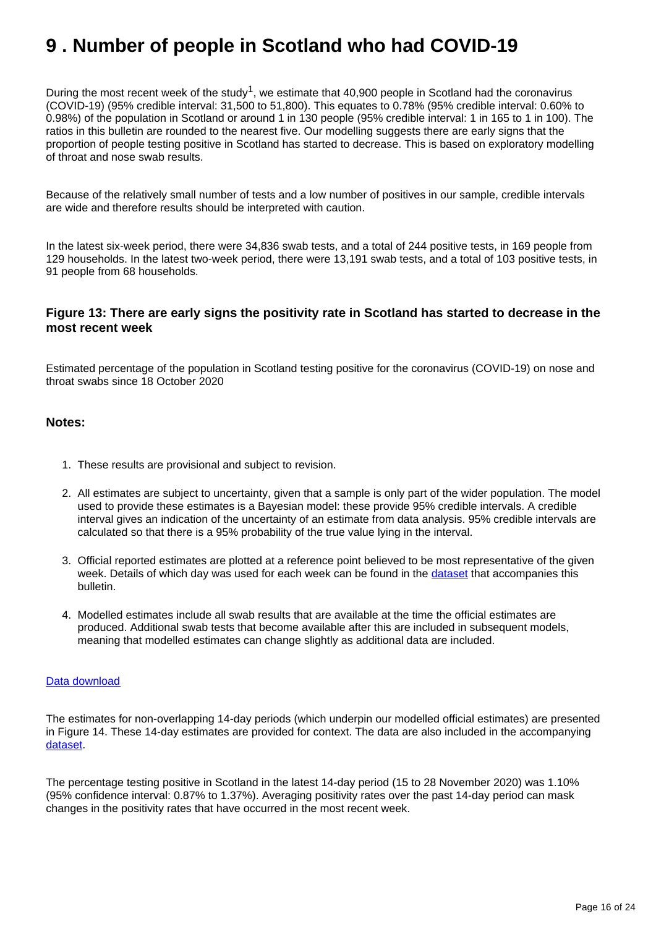# <span id="page-15-0"></span>**9 . Number of people in Scotland who had COVID-19**

During the most recent week of the study<sup>1</sup>, we estimate that 40,900 people in Scotland had the coronavirus (COVID-19) (95% credible interval: 31,500 to 51,800). This equates to 0.78% (95% credible interval: 0.60% to 0.98%) of the population in Scotland or around 1 in 130 people (95% credible interval: 1 in 165 to 1 in 100). The ratios in this bulletin are rounded to the nearest five. Our modelling suggests there are early signs that the proportion of people testing positive in Scotland has started to decrease. This is based on exploratory modelling of throat and nose swab results.

Because of the relatively small number of tests and a low number of positives in our sample, credible intervals are wide and therefore results should be interpreted with caution.

In the latest six-week period, there were 34,836 swab tests, and a total of 244 positive tests, in 169 people from 129 households. In the latest two-week period, there were 13,191 swab tests, and a total of 103 positive tests, in 91 people from 68 households.

# **Figure 13: There are early signs the positivity rate in Scotland has started to decrease in the most recent week**

Estimated percentage of the population in Scotland testing positive for the coronavirus (COVID-19) on nose and throat swabs since 18 October 2020

### **Notes:**

- 1. These results are provisional and subject to revision.
- 2. All estimates are subject to uncertainty, given that a sample is only part of the wider population. The model used to provide these estimates is a Bayesian model: these provide 95% credible intervals. A credible interval gives an indication of the uncertainty of an estimate from data analysis. 95% credible intervals are calculated so that there is a 95% probability of the true value lying in the interval.
- 3. Official reported estimates are plotted at a reference point believed to be most representative of the given week. Details of which day was used for each week can be found in the [dataset](https://www.ons.gov.uk/peoplepopulationandcommunity/healthandsocialcare/conditionsanddiseases/datasets/coronaviruscovid19infectionsurveydata) that accompanies this bulletin.
- 4. Modelled estimates include all swab results that are available at the time the official estimates are produced. Additional swab tests that become available after this are included in subsequent models, meaning that modelled estimates can change slightly as additional data are included.

#### [Data download](https://www.ons.gov.uk/visualisations/dvc1086/prvscotlandwrapper/datadownload.xlsx)

The estimates for non-overlapping 14-day periods (which underpin our modelled official estimates) are presented in Figure 14. These 14-day estimates are provided for context. The data are also included in the accompanying [dataset.](https://www.ons.gov.uk/peoplepopulationandcommunity/healthandsocialcare/conditionsanddiseases/datasets/coronaviruscovid19infectionsurveydata)

The percentage testing positive in Scotland in the latest 14-day period (15 to 28 November 2020) was 1.10% (95% confidence interval: 0.87% to 1.37%). Averaging positivity rates over the past 14-day period can mask changes in the positivity rates that have occurred in the most recent week.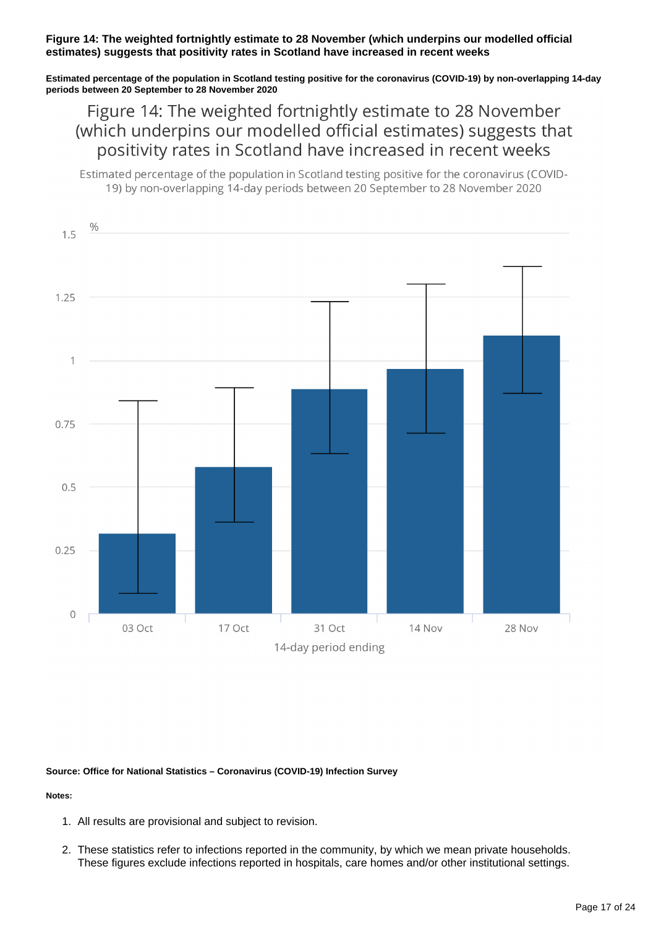#### **Figure 14: The weighted fortnightly estimate to 28 November (which underpins our modelled official estimates) suggests that positivity rates in Scotland have increased in recent weeks**

**Estimated percentage of the population in Scotland testing positive for the coronavirus (COVID-19) by non-overlapping 14-day periods between 20 September to 28 November 2020**

Figure 14: The weighted fortnightly estimate to 28 November (which underpins our modelled official estimates) suggests that positivity rates in Scotland have increased in recent weeks

Estimated percentage of the population in Scotland testing positive for the coronavirus (COVID-19) by non-overlapping 14-day periods between 20 September to 28 November 2020



#### **Source: Office for National Statistics – Coronavirus (COVID-19) Infection Survey**

- 1. All results are provisional and subject to revision.
- 2. These statistics refer to infections reported in the community, by which we mean private households. These figures exclude infections reported in hospitals, care homes and/or other institutional settings.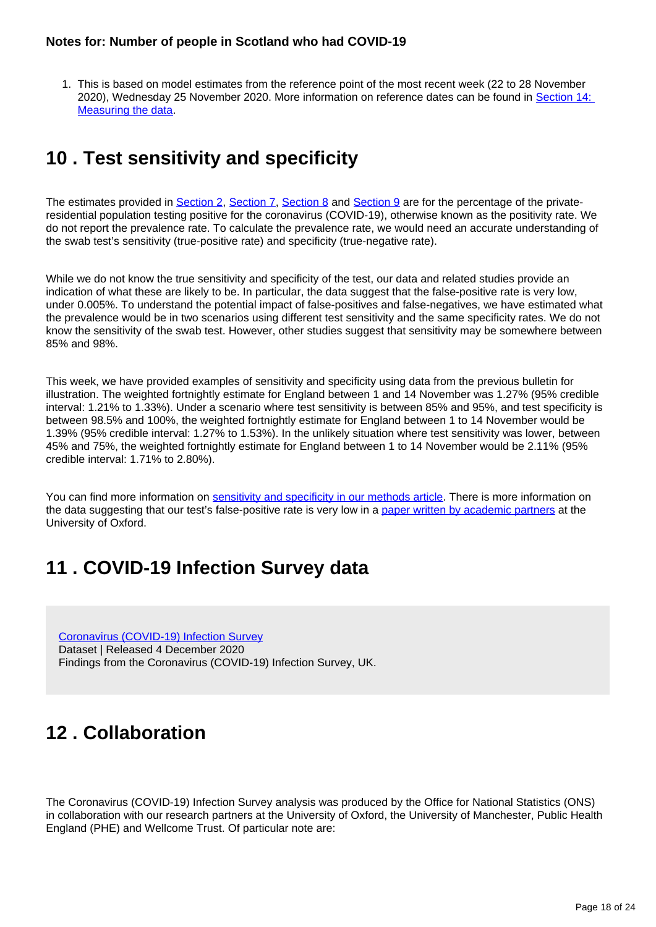1. This is based on model estimates from the reference point of the most recent week (22 to 28 November 2020), Wednesday 25 November 2020. More information on reference dates can be found in [Section 14:](https://www.ons.gov.uk/peoplepopulationandcommunity/healthandsocialcare/conditionsanddiseases/bulletins/coronaviruscovid19infectionsurveypilot/4december2020#measuring-the-data)  [Measuring the data.](https://www.ons.gov.uk/peoplepopulationandcommunity/healthandsocialcare/conditionsanddiseases/bulletins/coronaviruscovid19infectionsurveypilot/4december2020#measuring-the-data)

# <span id="page-17-0"></span>**10 . Test sensitivity and specificity**

The estimates provided in [Section 2](https://www.ons.gov.uk/peoplepopulationandcommunity/healthandsocialcare/conditionsanddiseases/bulletins/coronaviruscovid19infectionsurveypilot/4december2020#number-of-people-in-england-who-had-covid-19), [Section 7](https://www.ons.gov.uk/peoplepopulationandcommunity/healthandsocialcare/conditionsanddiseases/bulletins/coronaviruscovid19infectionsurveypilot/4december2020#number-of-people-in-wales-who-had-covid-19), [Section 8](https://www.ons.gov.uk/peoplepopulationandcommunity/healthandsocialcare/conditionsanddiseases/bulletins/coronaviruscovid19infectionsurveypilot/4december2020#number-of-people-in-northern-ireland-who-had-covid-19) and [Section 9](https://www.ons.gov.uk/peoplepopulationandcommunity/healthandsocialcare/conditionsanddiseases/bulletins/coronaviruscovid19infectionsurveypilot/4december2020#number-of-people-in-scotland-who-had-covid-19) are for the percentage of the privateresidential population testing positive for the coronavirus (COVID-19), otherwise known as the positivity rate. We do not report the prevalence rate. To calculate the prevalence rate, we would need an accurate understanding of the swab test's sensitivity (true-positive rate) and specificity (true-negative rate).

While we do not know the true sensitivity and specificity of the test, our data and related studies provide an indication of what these are likely to be. In particular, the data suggest that the false-positive rate is very low, under 0.005%. To understand the potential impact of false-positives and false-negatives, we have estimated what the prevalence would be in two scenarios using different test sensitivity and the same specificity rates. We do not know the sensitivity of the swab test. However, other studies suggest that sensitivity may be somewhere between 85% and 98%.

This week, we have provided examples of sensitivity and specificity using data from the previous bulletin for illustration. The weighted fortnightly estimate for England between 1 and 14 November was 1.27% (95% credible interval: 1.21% to 1.33%). Under a scenario where test sensitivity is between 85% and 95%, and test specificity is between 98.5% and 100%, the weighted fortnightly estimate for England between 1 to 14 November would be 1.39% (95% credible interval: 1.27% to 1.53%). In the unlikely situation where test sensitivity was lower, between 45% and 75%, the weighted fortnightly estimate for England between 1 to 14 November would be 2.11% (95% credible interval: 1.71% to 2.80%).

You can find more information on [sensitivity and specificity in our methods article](https://www.ons.gov.uk/peoplepopulationandcommunity/healthandsocialcare/conditionsanddiseases/methodologies/covid19infectionsurveypilotmethodsandfurtherinformation#test-sensitivity-and-specificity). There is more information on the data suggesting that our test's false-positive rate is very low in a [paper written by academic partners](https://www.medrxiv.org/content/10.1101/2020.10.25.20219048v1) at the University of Oxford.

# <span id="page-17-1"></span>**11 . COVID-19 Infection Survey data**

[Coronavirus \(COVID-19\) Infection Survey](https://www.ons.gov.uk/peoplepopulationandcommunity/healthandsocialcare/conditionsanddiseases/datasets/coronaviruscovid19infectionsurveydata) Dataset | Released 4 December 2020 Findings from the Coronavirus (COVID-19) Infection Survey, UK.

# <span id="page-17-2"></span>**12 . Collaboration**

The Coronavirus (COVID-19) Infection Survey analysis was produced by the Office for National Statistics (ONS) in collaboration with our research partners at the University of Oxford, the University of Manchester, Public Health England (PHE) and Wellcome Trust. Of particular note are: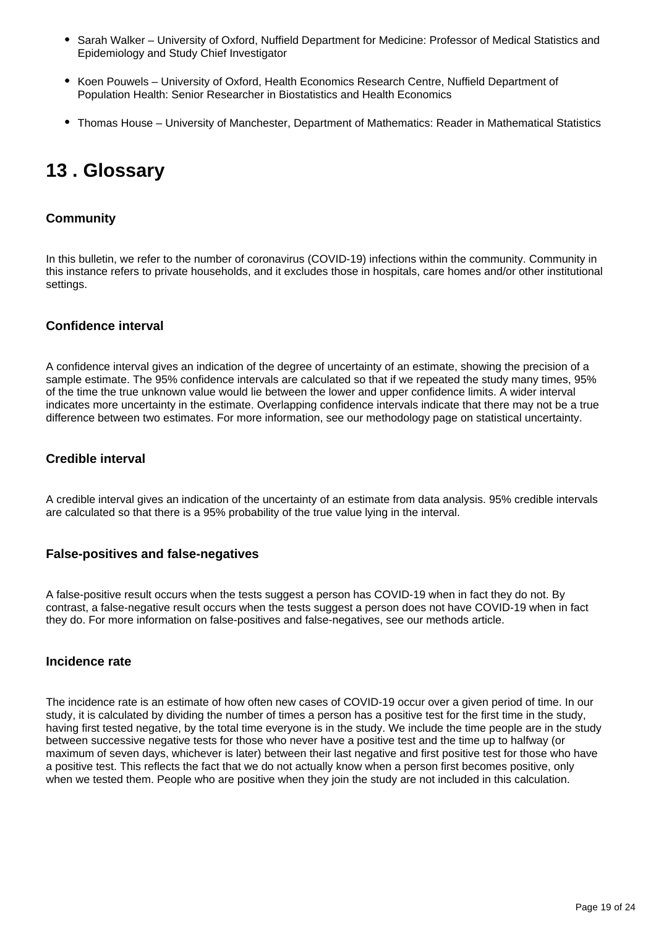- Sarah Walker University of Oxford, Nuffield Department for Medicine: Professor of Medical Statistics and Epidemiology and Study Chief Investigator
- Koen Pouwels University of Oxford, Health Economics Research Centre, Nuffield Department of Population Health: Senior Researcher in Biostatistics and Health Economics
- Thomas House University of Manchester, Department of Mathematics: Reader in Mathematical Statistics

# <span id="page-18-0"></span>**13 . Glossary**

# **Community**

In this bulletin, we refer to the number of coronavirus (COVID-19) infections within the community. Community in this instance refers to private households, and it excludes those in hospitals, care homes and/or other institutional settings.

## **Confidence interval**

A confidence interval gives an indication of the degree of uncertainty of an estimate, showing the precision of a sample estimate. The 95% confidence intervals are calculated so that if we repeated the study many times, 95% of the time the true unknown value would lie between the lower and upper confidence limits. A wider interval indicates more uncertainty in the estimate. Overlapping confidence intervals indicate that there may not be a true difference between two estimates. For more information, see our methodology page on statistical uncertainty.

# **Credible interval**

A credible interval gives an indication of the uncertainty of an estimate from data analysis. 95% credible intervals are calculated so that there is a 95% probability of the true value lying in the interval.

## **False-positives and false-negatives**

A false-positive result occurs when the tests suggest a person has COVID-19 when in fact they do not. By contrast, a false-negative result occurs when the tests suggest a person does not have COVID-19 when in fact they do. For more information on false-positives and false-negatives, see our methods article.

#### **Incidence rate**

The incidence rate is an estimate of how often new cases of COVID-19 occur over a given period of time. In our study, it is calculated by dividing the number of times a person has a positive test for the first time in the study, having first tested negative, by the total time everyone is in the study. We include the time people are in the study between successive negative tests for those who never have a positive test and the time up to halfway (or maximum of seven days, whichever is later) between their last negative and first positive test for those who have a positive test. This reflects the fact that we do not actually know when a person first becomes positive, only when we tested them. People who are positive when they join the study are not included in this calculation.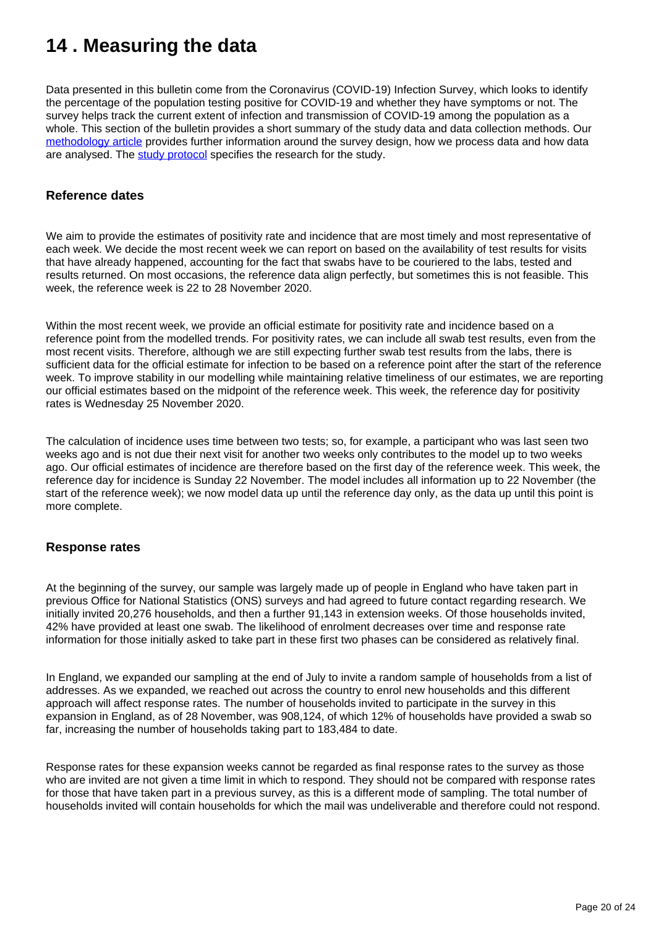# <span id="page-19-0"></span>**14 . Measuring the data**

Data presented in this bulletin come from the Coronavirus (COVID-19) Infection Survey, which looks to identify the percentage of the population testing positive for COVID-19 and whether they have symptoms or not. The survey helps track the current extent of infection and transmission of COVID-19 among the population as a whole. This section of the bulletin provides a short summary of the study data and data collection methods. Our [methodology article](https://www.ons.gov.uk/peoplepopulationandcommunity/healthandsocialcare/conditionsanddiseases/methodologies/covid19infectionsurveypilotmethodsandfurtherinformation) provides further information around the survey design, how we process data and how data are analysed. The [study protocol](https://www.ndm.ox.ac.uk/covid-19/covid-19-infection-survey/protocol-and-information-sheets) specifies the research for the study.

### **Reference dates**

We aim to provide the estimates of positivity rate and incidence that are most timely and most representative of each week. We decide the most recent week we can report on based on the availability of test results for visits that have already happened, accounting for the fact that swabs have to be couriered to the labs, tested and results returned. On most occasions, the reference data align perfectly, but sometimes this is not feasible. This week, the reference week is 22 to 28 November 2020.

Within the most recent week, we provide an official estimate for positivity rate and incidence based on a reference point from the modelled trends. For positivity rates, we can include all swab test results, even from the most recent visits. Therefore, although we are still expecting further swab test results from the labs, there is sufficient data for the official estimate for infection to be based on a reference point after the start of the reference week. To improve stability in our modelling while maintaining relative timeliness of our estimates, we are reporting our official estimates based on the midpoint of the reference week. This week, the reference day for positivity rates is Wednesday 25 November 2020.

The calculation of incidence uses time between two tests; so, for example, a participant who was last seen two weeks ago and is not due their next visit for another two weeks only contributes to the model up to two weeks ago. Our official estimates of incidence are therefore based on the first day of the reference week. This week, the reference day for incidence is Sunday 22 November. The model includes all information up to 22 November (the start of the reference week); we now model data up until the reference day only, as the data up until this point is more complete.

#### **Response rates**

At the beginning of the survey, our sample was largely made up of people in England who have taken part in previous Office for National Statistics (ONS) surveys and had agreed to future contact regarding research. We initially invited 20,276 households, and then a further 91,143 in extension weeks. Of those households invited, 42% have provided at least one swab. The likelihood of enrolment decreases over time and response rate information for those initially asked to take part in these first two phases can be considered as relatively final.

In England, we expanded our sampling at the end of July to invite a random sample of households from a list of addresses. As we expanded, we reached out across the country to enrol new households and this different approach will affect response rates. The number of households invited to participate in the survey in this expansion in England, as of 28 November, was 908,124, of which 12% of households have provided a swab so far, increasing the number of households taking part to 183,484 to date.

Response rates for these expansion weeks cannot be regarded as final response rates to the survey as those who are invited are not given a time limit in which to respond. They should not be compared with response rates for those that have taken part in a previous survey, as this is a different mode of sampling. The total number of households invited will contain households for which the mail was undeliverable and therefore could not respond.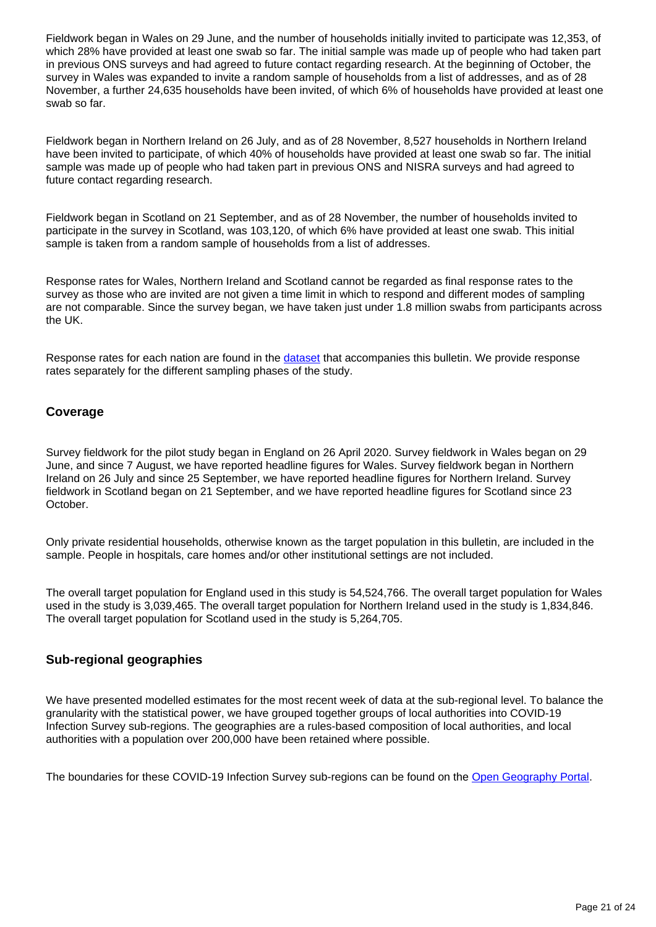Fieldwork began in Wales on 29 June, and the number of households initially invited to participate was 12,353, of which 28% have provided at least one swab so far. The initial sample was made up of people who had taken part in previous ONS surveys and had agreed to future contact regarding research. At the beginning of October, the survey in Wales was expanded to invite a random sample of households from a list of addresses, and as of 28 November, a further 24,635 households have been invited, of which 6% of households have provided at least one swab so far.

Fieldwork began in Northern Ireland on 26 July, and as of 28 November, 8,527 households in Northern Ireland have been invited to participate, of which 40% of households have provided at least one swab so far. The initial sample was made up of people who had taken part in previous ONS and NISRA surveys and had agreed to future contact regarding research.

Fieldwork began in Scotland on 21 September, and as of 28 November, the number of households invited to participate in the survey in Scotland, was 103,120, of which 6% have provided at least one swab. This initial sample is taken from a random sample of households from a list of addresses.

Response rates for Wales, Northern Ireland and Scotland cannot be regarded as final response rates to the survey as those who are invited are not given a time limit in which to respond and different modes of sampling are not comparable. Since the survey began, we have taken just under 1.8 million swabs from participants across the UK.

Response rates for each nation are found in the [dataset](https://www.ons.gov.uk/peoplepopulationandcommunity/healthandsocialcare/conditionsanddiseases/datasets/coronaviruscovid19infectionsurveydata) that accompanies this bulletin. We provide response rates separately for the different sampling phases of the study.

## **Coverage**

Survey fieldwork for the pilot study began in England on 26 April 2020. Survey fieldwork in Wales began on 29 June, and since 7 August, we have reported headline figures for Wales. Survey fieldwork began in Northern Ireland on 26 July and since 25 September, we have reported headline figures for Northern Ireland. Survey fieldwork in Scotland began on 21 September, and we have reported headline figures for Scotland since 23 October.

Only private residential households, otherwise known as the target population in this bulletin, are included in the sample. People in hospitals, care homes and/or other institutional settings are not included.

The overall target population for England used in this study is 54,524,766. The overall target population for Wales used in the study is 3,039,465. The overall target population for Northern Ireland used in the study is 1,834,846. The overall target population for Scotland used in the study is 5,264,705.

## **Sub-regional geographies**

We have presented modelled estimates for the most recent week of data at the sub-regional level. To balance the granularity with the statistical power, we have grouped together groups of local authorities into COVID-19 Infection Survey sub-regions. The geographies are a rules-based composition of local authorities, and local authorities with a population over 200,000 have been retained where possible.

The boundaries for these COVID-19 Infection Survey sub-regions can be found on the [Open Geography Portal.](https://geoportal.statistics.gov.uk/search?collection=Dataset&sort=name&tags=all%28BDY_CIS%2COCT_2020)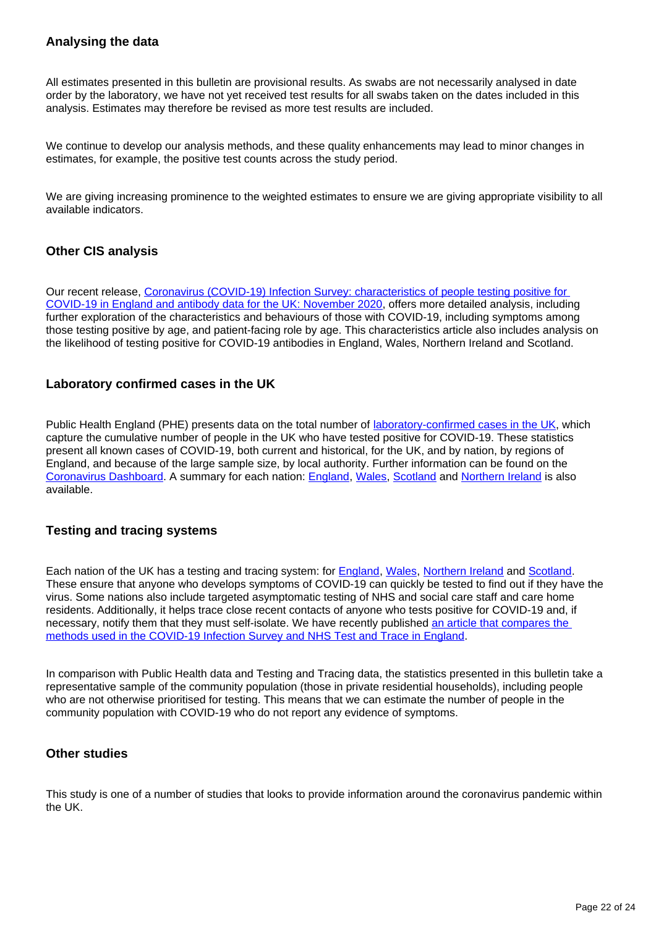# **Analysing the data**

All estimates presented in this bulletin are provisional results. As swabs are not necessarily analysed in date order by the laboratory, we have not yet received test results for all swabs taken on the dates included in this analysis. Estimates may therefore be revised as more test results are included.

We continue to develop our analysis methods, and these quality enhancements may lead to minor changes in estimates, for example, the positive test counts across the study period.

We are giving increasing prominence to the weighted estimates to ensure we are giving appropriate visibility to all available indicators.

## **Other CIS analysis**

Our recent release, [Coronavirus \(COVID-19\) Infection Survey: characteristics of people testing positive for](https://www.ons.gov.uk/peoplepopulationandcommunity/healthandsocialcare/conditionsanddiseases/articles/coronaviruscovid19infectionsinthecommunityinengland/november2020)  [COVID-19 in England and antibody data for the UK: November 2020](https://www.ons.gov.uk/peoplepopulationandcommunity/healthandsocialcare/conditionsanddiseases/articles/coronaviruscovid19infectionsinthecommunityinengland/november2020), offers more detailed analysis, including further exploration of the characteristics and behaviours of those with COVID-19, including symptoms among those testing positive by age, and patient-facing role by age. This characteristics article also includes analysis on the likelihood of testing positive for COVID-19 antibodies in England, Wales, Northern Ireland and Scotland.

## **Laboratory confirmed cases in the UK**

Public Health England (PHE) presents data on the total number of [laboratory-confirmed cases in the UK,](https://coronavirus.data.gov.uk/details/cases) which capture the cumulative number of people in the UK who have tested positive for COVID-19. These statistics present all known cases of COVID-19, both current and historical, for the UK, and by nation, by regions of England, and because of the large sample size, by local authority. Further information can be found on the [Coronavirus Dashboard](https://coronavirus.data.gov.uk/). A summary for each nation: [England](https://www.gov.uk/government/publications/national-covid-19-surveillance-reports), [Wales](https://gov.wales/test-trace-protect-contact-tracing-coronavirus-covid-19), [Scotland](https://www.gov.scot/publications/coronavirus-covid-19-daily-data-for-scotland/) and [Northern Ireland](https://app.powerbi.com/view?r=eyJrIjoiZGYxNjYzNmUtOTlmZS00ODAxLWE1YTEtMjA0NjZhMzlmN2JmIiwidCI6IjljOWEzMGRlLWQ4ZDctNGFhNC05NjAwLTRiZTc2MjVmZjZjNSIsImMiOjh9) is also available.

## **Testing and tracing systems**

Each nation of the UK has a testing and tracing system: for [England,](https://www.gov.uk/guidance/nhs-test-and-trace-how-it-works?priority-taxon=774cee22-d896-44c1-a611-e3109cce8eae) [Wales](https://gov.wales/test-trace-protect-contact-tracing-coronavirus-covid-19), [Northern Ireland](https://www.nidirect.gov.uk/articles/coronavirus-covid-19-testing-and-contact-tracing) and [Scotland](https://www.gov.scot/publications/coronavirus-covid-19-test-trace-isolate-support/). These ensure that anyone who develops symptoms of COVID-19 can quickly be tested to find out if they have the virus. Some nations also include targeted asymptomatic testing of NHS and social care staff and care home residents. Additionally, it helps trace close recent contacts of anyone who tests positive for COVID-19 and, if necessary, notify them that they must self-isolate. We have recently published [an article that compares the](https://www.ons.gov.uk/peoplepopulationandcommunity/healthandsocialcare/conditionsanddiseases/articles/comparingmethodsusedinthecoronaviruscovid19infectionsurveyandnhstestandtraceengland/october2020)  [methods used in the COVID-19 Infection Survey and NHS Test and Trace in England.](https://www.ons.gov.uk/peoplepopulationandcommunity/healthandsocialcare/conditionsanddiseases/articles/comparingmethodsusedinthecoronaviruscovid19infectionsurveyandnhstestandtraceengland/october2020)

In comparison with Public Health data and Testing and Tracing data, the statistics presented in this bulletin take a representative sample of the community population (those in private residential households), including people who are not otherwise prioritised for testing. This means that we can estimate the number of people in the community population with COVID-19 who do not report any evidence of symptoms.

# **Other studies**

This study is one of a number of studies that looks to provide information around the coronavirus pandemic within the UK.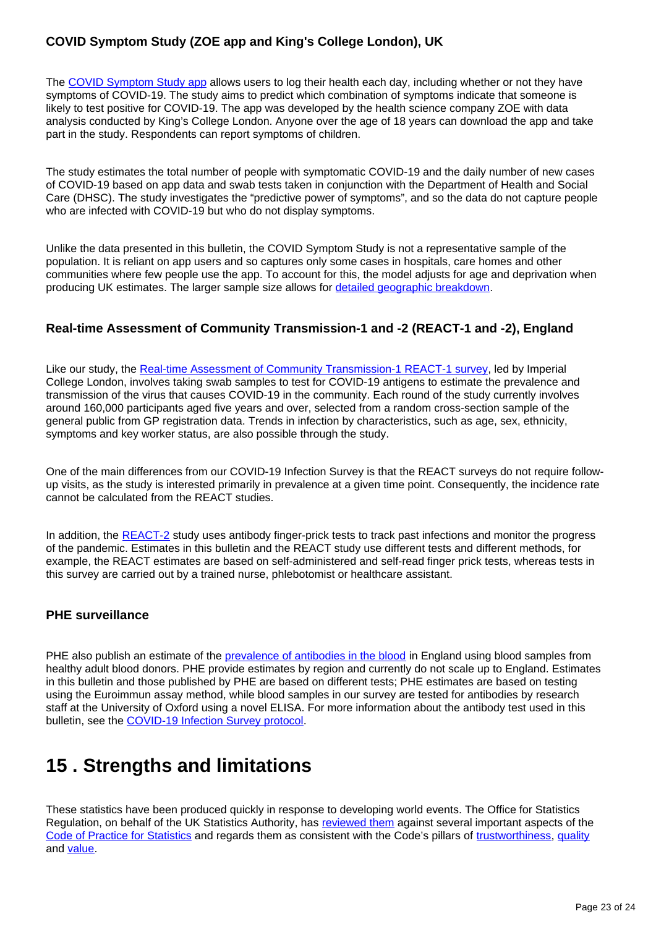# **COVID Symptom Study (ZOE app and King's College London), UK**

The [COVID Symptom Study app](https://covid.joinzoe.com/) allows users to log their health each day, including whether or not they have symptoms of COVID-19. The study aims to predict which combination of symptoms indicate that someone is likely to test positive for COVID-19. The app was developed by the health science company ZOE with data analysis conducted by King's College London. Anyone over the age of 18 years can download the app and take part in the study. Respondents can report symptoms of children.

The study estimates the total number of people with symptomatic COVID-19 and the daily number of new cases of COVID-19 based on app data and swab tests taken in conjunction with the Department of Health and Social Care (DHSC). The study investigates the "predictive power of symptoms", and so the data do not capture people who are infected with COVID-19 but who do not display symptoms.

Unlike the data presented in this bulletin, the COVID Symptom Study is not a representative sample of the population. It is reliant on app users and so captures only some cases in hospitals, care homes and other communities where few people use the app. To account for this, the model adjusts for age and deprivation when producing UK estimates. The larger sample size allows for [detailed geographic breakdown.](https://covid.joinzoe.com/data)

# **Real-time Assessment of Community Transmission-1 and -2 (REACT-1 and -2), England**

Like our study, the [Real-time Assessment of Community Transmission-1 REACT-1 survey](https://www.imperial.ac.uk/medicine/research-and-impact/groups/react-study/the-react-1-programme/), led by Imperial College London, involves taking swab samples to test for COVID-19 antigens to estimate the prevalence and transmission of the virus that causes COVID-19 in the community. Each round of the study currently involves around 160,000 participants aged five years and over, selected from a random cross-section sample of the general public from GP registration data. Trends in infection by characteristics, such as age, sex, ethnicity, symptoms and key worker status, are also possible through the study.

One of the main differences from our COVID-19 Infection Survey is that the REACT surveys do not require followup visits, as the study is interested primarily in prevalence at a given time point. Consequently, the incidence rate cannot be calculated from the REACT studies.

In addition, the [REACT-2](https://www.imperial.ac.uk/medicine/research-and-impact/groups/react-study/the-react-2-programme/) study uses antibody finger-prick tests to track past infections and monitor the progress of the pandemic. Estimates in this bulletin and the REACT study use different tests and different methods, for example, the REACT estimates are based on self-administered and self-read finger prick tests, whereas tests in this survey are carried out by a trained nurse, phlebotomist or healthcare assistant.

## **PHE surveillance**

PHE also publish an estimate of the [prevalence of antibodies in the blood](https://www.gov.uk/government/publications/national-covid-19-surveillance-reports/sero-surveillance-of-covid-19) in England using blood samples from healthy adult blood donors. PHE provide estimates by region and currently do not scale up to England. Estimates in this bulletin and those published by PHE are based on different tests; PHE estimates are based on testing using the Euroimmun assay method, while blood samples in our survey are tested for antibodies by research staff at the University of Oxford using a novel ELISA. For more information about the antibody test used in this bulletin, see the [COVID-19 Infection Survey protocol.](https://www.ndm.ox.ac.uk/protocol-and-information-sheets)

# <span id="page-22-0"></span>**15 . Strengths and limitations**

These statistics have been produced quickly in response to developing world events. The Office for Statistics Regulation, on behalf of the UK Statistics Authority, has [reviewed them](https://www.statisticsauthority.gov.uk/correspondence/review-of-coronavirus-covid-19-infection-survey/) against several important aspects of the [Code of Practice for Statistics](https://code.statisticsauthority.gov.uk/) and regards them as consistent with the Code's pillars of [trustworthiness](https://code.statisticsauthority.gov.uk/the-code/trustworthiness/), [quality](https://code.statisticsauthority.gov.uk/the-code/quality/) and [value.](https://code.statisticsauthority.gov.uk/the-code/value/)